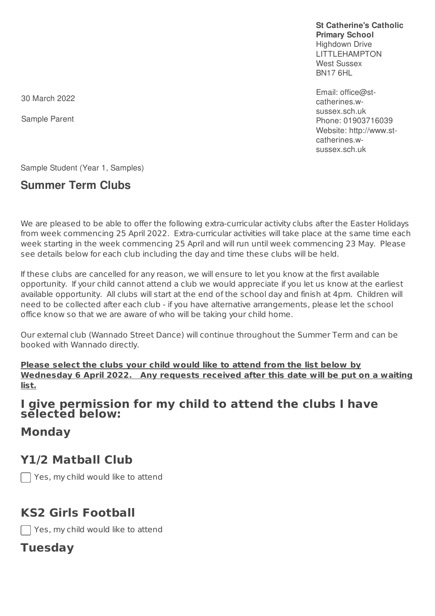**St Catherine's Catholic Primary School** Highdown Drive LITTLEHAMPTON West Sussex BN17 6HL

Email: office@stcatherines.wsussex.sch.uk Phone: 01903716039 Website: http://www.stcatherines.wsussex.sch.uk

30 March 2022

Sample Parent

Sample Student (Year 1, Samples)

### **Summer Term Clubs**

We are pleased to be able to offer the following extra-curricular activity clubs after the Easter Holidays from week commencing 25 April 2022. Extra-curricular activities will take place at the same time each week starting in the week commencing 25 April and will run until week commencing 23 May. Please see details below for each club including the day and time these clubs will be held.

If these clubs are cancelled for any reason, we will ensure to let you know at the first available opportunity. If your child cannot attend a club we would appreciate if you let us know at the earliest available opportunity. All clubs will start at the end of the school day and finish at 4pm. Children will need to be collected after each club - if you have alternative arrangements, please let the school office know so that we are aware of who will be taking your child home.

Our external club (Wannado Street Dance) will continue throughout the Summer Term and can be booked with Wannado directly.

**Please select the clubs your child would like to attend from the list below by Wednesday 6 April 2022. Any requests received after this date will be put on a waiting list.**

#### **I give permission for my child to attend the clubs I have selected below:**

**Monday**

### **Y1/2 Matball Club**

Yes, my child would like to attend

## **KS2 Girls Football**

 $\Box$  Yes, my child would like to attend

#### **Tuesday**